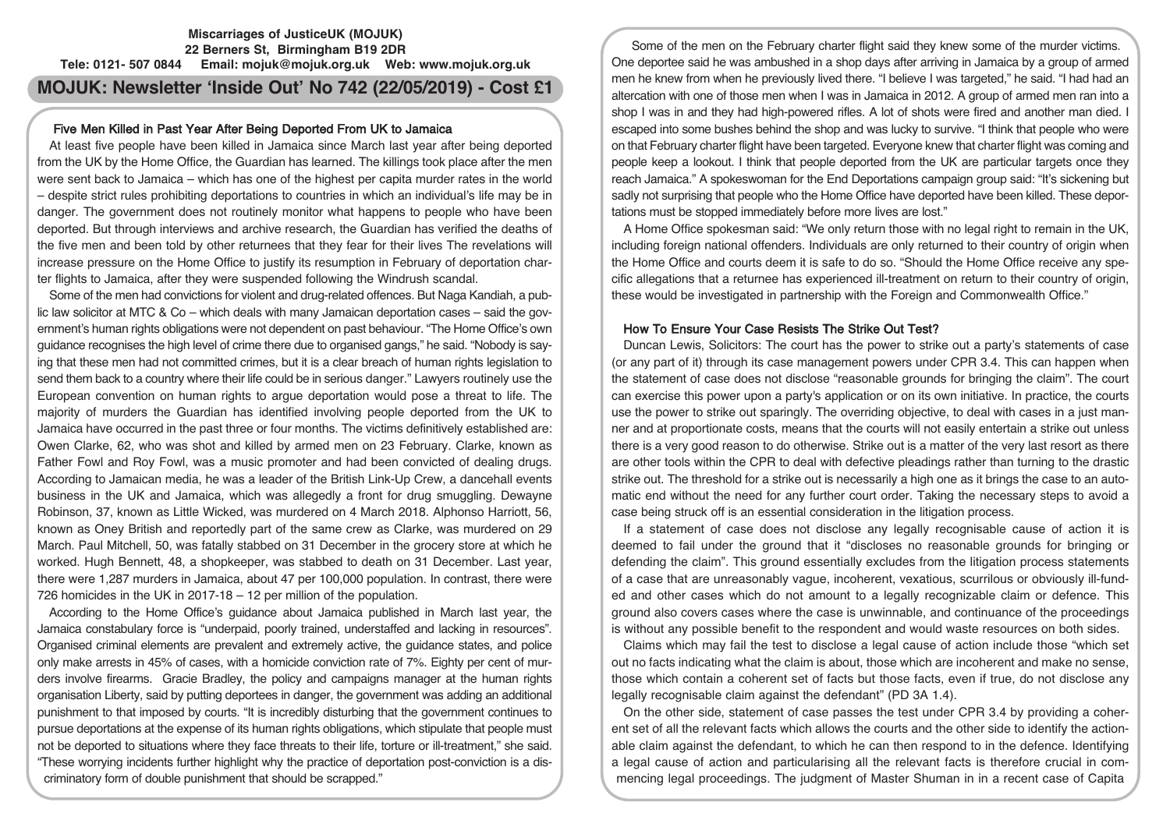# **Miscarriages of JusticeUK (MOJUK) 22 Berners St, Birmingham B19 2DR Tele: 0121- 507 0844 Email: mojuk@mojuk.org.uk Web: www.mojuk.org.uk**

# **MOJUK: Newsletter 'Inside Out' No 742 (22/05/2019) - Cost £1**

# Five Men Killed in Past Year After Being Deported From UK to Jamaica

At least five people have been killed in Jamaica since March last year after being deported from the UK by the Home Office, the Guardian has learned. The killings took place after the men were sent back to Jamaica – which has one of the highest per capita murder rates in the world – despite strict rules prohibiting deportations to countries in which an individual's life may be in danger. The government does not routinely monitor what happens to people who have been deported. But through interviews and archive research, the Guardian has verified the deaths of the five men and been told by other returnees that they fear for their lives The revelations will increase pressure on the Home Office to justify its resumption in February of deportation charter flights to Jamaica, after they were suspended following the Windrush scandal.

Some of the men had convictions for violent and drug-related offences. But Naga Kandiah, a public law solicitor at MTC & Co – which deals with many Jamaican deportation cases – said the government's human rights obligations were not dependent on past behaviour. "The Home Office's own guidance recognises the high level of crime there due to organised gangs," he said. "Nobody is saying that these men had not committed crimes, but it is a clear breach of human rights legislation to send them back to a country where their life could be in serious danger." Lawyers routinely use the European convention on human rights to argue deportation would pose a threat to life. The majority of murders the Guardian has identified involving people deported from the UK to Jamaica have occurred in the past three or four months. The victims definitively established are: Owen Clarke, 62, who was shot and killed by armed men on 23 February. Clarke, known as Father Fowl and Roy Fowl, was a music promoter and had been convicted of dealing drugs. According to Jamaican media, he was a leader of the British Link-Up Crew, a dancehall events business in the UK and Jamaica, which was allegedly a front for drug smuggling. Dewayne Robinson, 37, known as Little Wicked, was murdered on 4 March 2018. Alphonso Harriott, 56, known as Oney British and reportedly part of the same crew as Clarke, was murdered on 29 March. Paul Mitchell, 50, was fatally stabbed on 31 December in the grocery store at which he worked. Hugh Bennett, 48, a shopkeeper, was stabbed to death on 31 December. Last year, there were 1,287 murders in Jamaica, about 47 per 100,000 population. In contrast, there were 726 homicides in the UK in 2017-18 – 12 per million of the population.

According to the Home Office's guidance about Jamaica published in March last year, the Jamaica constabulary force is "underpaid, poorly trained, understaffed and lacking in resources". Organised criminal elements are prevalent and extremely active, the guidance states, and police only make arrests in 45% of cases, with a homicide conviction rate of 7%. Eighty per cent of murders involve firearms. Gracie Bradley, the policy and campaigns manager at the human rights organisation Liberty, said by putting deportees in danger, the government was adding an additional punishment to that imposed by courts. "It is incredibly disturbing that the government continues to pursue deportations at the expense of its human rights obligations, which stipulate that people must not be deported to situations where they face threats to their life, torture or ill-treatment," she said. "These worrying incidents further highlight why the practice of deportation post-conviction is a discriminatory form of double punishment that should be scrapped."

Some of the men on the February charter flight said they knew some of the murder victims. One deportee said he was ambushed in a shop days after arriving in Jamaica by a group of armed men he knew from when he previously lived there. "I believe I was targeted," he said. "I had had an altercation with one of those men when I was in Jamaica in 2012. A group of armed men ran into a shop I was in and they had high-powered rifles. A lot of shots were fired and another man died. I escaped into some bushes behind the shop and was lucky to survive. "I think that people who were on that February charter flight have been targeted. Everyone knew that charter flight was coming and people keep a lookout. I think that people deported from the UK are particular targets once they reach Jamaica." A spokeswoman for the End Deportations campaign group said: "It's sickening but sadly not surprising that people who the Home Office have deported have been killed. These deportations must be stopped immediately before more lives are lost."

A Home Office spokesman said: "We only return those with no legal right to remain in the UK, including foreign national offenders. Individuals are only returned to their country of origin when the Home Office and courts deem it is safe to do so. "Should the Home Office receive any specific allegations that a returnee has experienced ill-treatment on return to their country of origin, these would be investigated in partnership with the Foreign and Commonwealth Office."

# How To Ensure Your Case Resists The Strike Out Test?

Duncan Lewis, Solicitors: The court has the power to strike out a party's statements of case (or any part of it) through its case management powers under CPR 3.4. This can happen when the statement of case does not disclose "reasonable grounds for bringing the claim". The court can exercise this power upon a party's application or on its own initiative. In practice, the courts use the power to strike out sparingly. The overriding objective, to deal with cases in a just manner and at proportionate costs, means that the courts will not easily entertain a strike out unless there is a very good reason to do otherwise. Strike out is a matter of the very last resort as there are other tools within the CPR to deal with defective pleadings rather than turning to the drastic strike out. The threshold for a strike out is necessarily a high one as it brings the case to an automatic end without the need for any further court order. Taking the necessary steps to avoid a case being struck off is an essential consideration in the litigation process.

If a statement of case does not disclose any legally recognisable cause of action it is deemed to fail under the ground that it "discloses no reasonable grounds for bringing or defending the claim". This ground essentially excludes from the litigation process statements of a case that are unreasonably vague, incoherent, vexatious, scurrilous or obviously ill-funded and other cases which do not amount to a legally recognizable claim or defence. This ground also covers cases where the case is unwinnable, and continuance of the proceedings is without any possible benefit to the respondent and would waste resources on both sides.

Claims which may fail the test to disclose a legal cause of action include those "which set out no facts indicating what the claim is about, those which are incoherent and make no sense, those which contain a coherent set of facts but those facts, even if true, do not disclose any legally recognisable claim against the defendant" (PD 3A 1.4).

On the other side, statement of case passes the test under CPR 3.4 by providing a coherent set of all the relevant facts which allows the courts and the other side to identify the actionable claim against the defendant, to which he can then respond to in the defence. Identifying a legal cause of action and particularising all the relevant facts is therefore crucial in commencing legal proceedings. The judgment of Master Shuman in in a recent case of Capita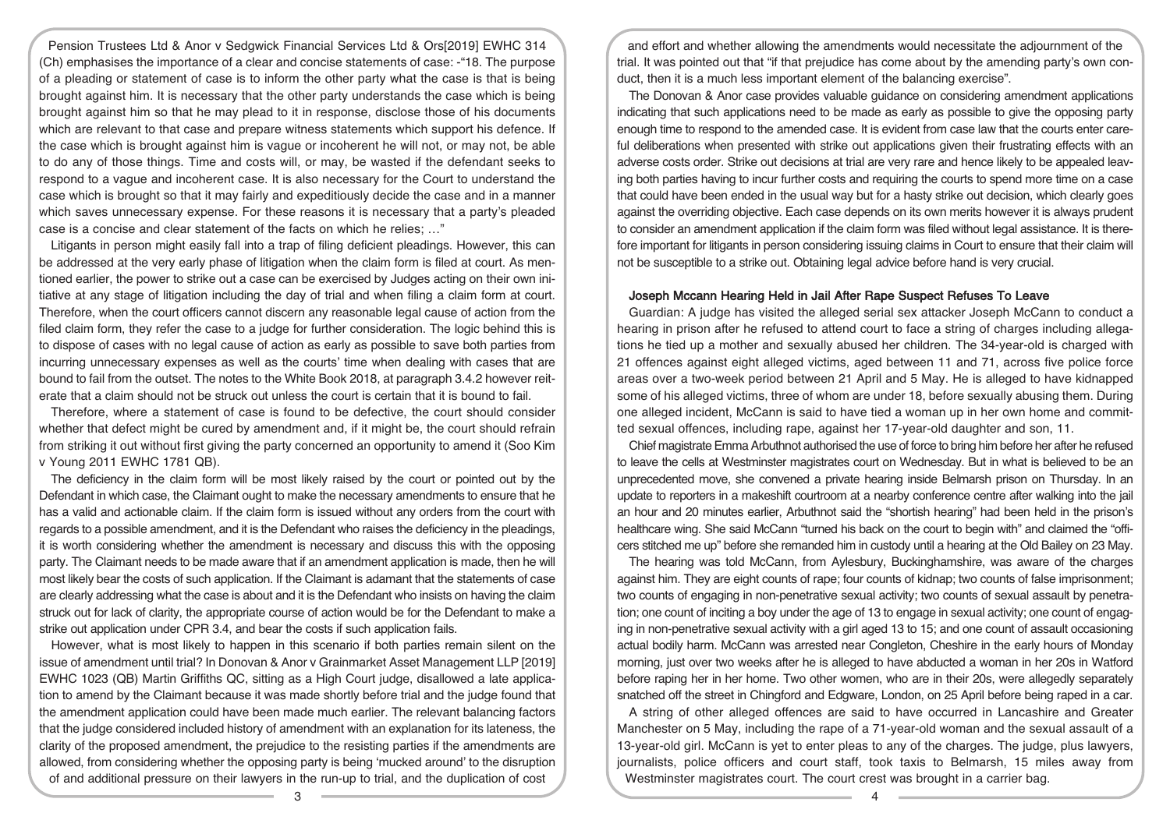Pension Trustees Ltd & Anor v Sedgwick Financial Services Ltd & Ors[2019] EWHC 314 (Ch) emphasises the importance of a clear and concise statements of case: -"18. The purpose of a pleading or statement of case is to inform the other party what the case is that is being brought against him. It is necessary that the other party understands the case which is being brought against him so that he may plead to it in response, disclose those of his documents which are relevant to that case and prepare witness statements which support his defence. If the case which is brought against him is vague or incoherent he will not, or may not, be able to do any of those things. Time and costs will, or may, be wasted if the defendant seeks to respond to a vague and incoherent case. It is also necessary for the Court to understand the case which is brought so that it may fairly and expeditiously decide the case and in a manner which saves unnecessary expense. For these reasons it is necessary that a party's pleaded case is a concise and clear statement of the facts on which he relies; …"

Litigants in person might easily fall into a trap of filing deficient pleadings. However, this can be addressed at the very early phase of litigation when the claim form is filed at court. As mentioned earlier, the power to strike out a case can be exercised by Judges acting on their own initiative at any stage of litigation including the day of trial and when filing a claim form at court. Therefore, when the court officers cannot discern any reasonable legal cause of action from the filed claim form, they refer the case to a judge for further consideration. The logic behind this is to dispose of cases with no legal cause of action as early as possible to save both parties from incurring unnecessary expenses as well as the courts' time when dealing with cases that are bound to fail from the outset. The notes to the White Book 2018, at paragraph 3.4.2 however reiterate that a claim should not be struck out unless the court is certain that it is bound to fail.

Therefore, where a statement of case is found to be defective, the court should consider whether that defect might be cured by amendment and, if it might be, the court should refrain from striking it out without first giving the party concerned an opportunity to amend it (Soo Kim v Young 2011 EWHC 1781 QB).

The deficiency in the claim form will be most likely raised by the court or pointed out by the Defendant in which case, the Claimant ought to make the necessary amendments to ensure that he has a valid and actionable claim. If the claim form is issued without any orders from the court with regards to a possible amendment, and it is the Defendant who raises the deficiency in the pleadings, it is worth considering whether the amendment is necessary and discuss this with the opposing party. The Claimant needs to be made aware that if an amendment application is made, then he will most likely bear the costs of such application. If the Claimant is adamant that the statements of case are clearly addressing what the case is about and it is the Defendant who insists on having the claim struck out for lack of clarity, the appropriate course of action would be for the Defendant to make a strike out application under CPR 3.4, and bear the costs if such application fails.

However, what is most likely to happen in this scenario if both parties remain silent on the issue of amendment until trial? In Donovan & Anor v Grainmarket Asset Management LLP [2019] EWHC 1023 (QB) Martin Griffiths QC, sitting as a High Court judge, disallowed a late application to amend by the Claimant because it was made shortly before trial and the judge found that the amendment application could have been made much earlier. The relevant balancing factors that the judge considered included history of amendment with an explanation for its lateness, the clarity of the proposed amendment, the prejudice to the resisting parties if the amendments are allowed, from considering whether the opposing party is being 'mucked around' to the disruption of and additional pressure on their lawyers in the run-up to trial, and the duplication of cost

and effort and whether allowing the amendments would necessitate the adjournment of the trial. It was pointed out that "if that prejudice has come about by the amending party's own conduct, then it is a much less important element of the balancing exercise".

The Donovan & Anor case provides valuable guidance on considering amendment applications indicating that such applications need to be made as early as possible to give the opposing party enough time to respond to the amended case. It is evident from case law that the courts enter careful deliberations when presented with strike out applications given their frustrating effects with an adverse costs order. Strike out decisions at trial are very rare and hence likely to be appealed leaving both parties having to incur further costs and requiring the courts to spend more time on a case that could have been ended in the usual way but for a hasty strike out decision, which clearly goes against the overriding objective. Each case depends on its own merits however it is always prudent to consider an amendment application if the claim form was filed without legal assistance. It is therefore important for litigants in person considering issuing claims in Court to ensure that their claim will not be susceptible to a strike out. Obtaining legal advice before hand is very crucial.

#### Joseph Mccann Hearing Held in Jail After Rape Suspect Refuses To Leave

Guardian: A judge has visited the alleged serial sex attacker Joseph McCann to conduct a hearing in prison after he refused to attend court to face a string of charges including allegations he tied up a mother and sexually abused her children. The 34-year-old is charged with 21 offences against eight alleged victims, aged between 11 and 71, across five police force areas over a two-week period between 21 April and 5 May. He is alleged to have kidnapped some of his alleged victims, three of whom are under 18, before sexually abusing them. During one alleged incident, McCann is said to have tied a woman up in her own home and committed sexual offences, including rape, against her 17-year-old daughter and son, 11.

Chief magistrateEmmaArbuthnot authorised the use of force to bring him before her after he refused to leave the cells at Westminster magistrates court on Wednesday. But in what is believed to be an unprecedented move, she convened a private hearing inside Belmarsh prison on Thursday. In an update to reporters in a makeshift courtroom at a nearby conference centre after walking into the jail an hour and 20 minutes earlier, Arbuthnot said the "shortish hearing" had been held in the prison's healthcare wing. She said McCann "turned his back on the court to begin with" and claimed the "officers stitched me up" before she remanded him in custody until a hearing at the Old Bailey on 23 May.

The hearing was told McCann, from Aylesbury, Buckinghamshire, was aware of the charges against him. They are eight counts of rape; four counts of kidnap; two counts of false imprisonment; two counts of engaging in non-penetrative sexual activity; two counts of sexual assault by penetration; one count of inciting a boy under the age of 13 to engage in sexual activity; one count of engaging in non-penetrative sexual activity with a girl aged 13 to 15; and one count of assault occasioning actual bodily harm. McCann was arrested near Congleton, Cheshire in the early hours of Monday morning, just over two weeks after he is alleged to have abducted a woman in her 20s in Watford before raping her in her home. Two other women, who are in their 20s, were allegedly separately snatched off the street in Chingford and Edgware, London, on 25 April before being raped in a car.

A string of other alleged offences are said to have occurred in Lancashire and Greater Manchester on 5 May, including the rape of a 71-year-old woman and the sexual assault of a 13-year-old girl. McCann is yet to enter pleas to any of the charges. The judge, plus lawyers, journalists, police officers and court staff, took taxis to Belmarsh, 15 miles away from Westminster magistrates court. The court crest was brought in a carrier bag.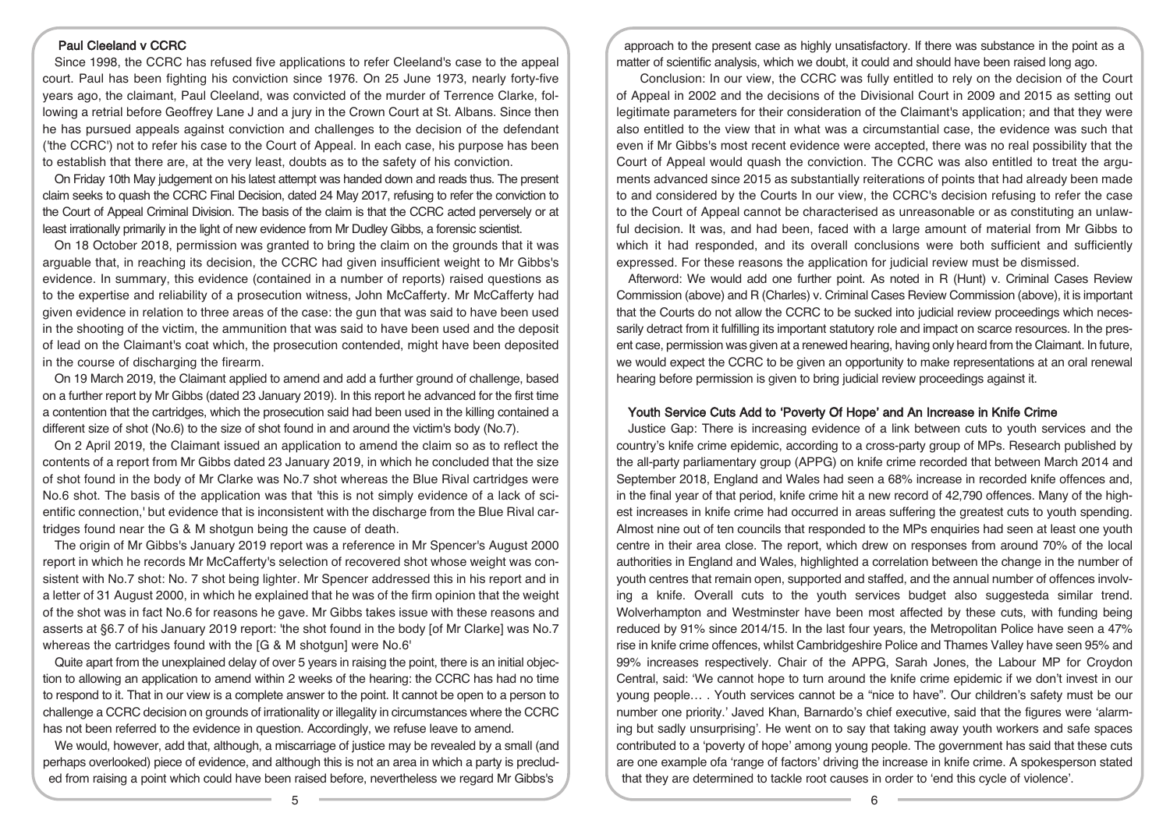## Paul Cleeland v CCRC

Since 1998, the CCRC has refused five applications to refer Cleeland's case to the appeal court. Paul has been fighting his conviction since 1976. On 25 June 1973, nearly forty-five years ago, the claimant, Paul Cleeland, was convicted of the murder of Terrence Clarke, following a retrial before Geoffrey Lane J and a jury in the Crown Court at St. Albans. Since then he has pursued appeals against conviction and challenges to the decision of the defendant ('the CCRC') not to refer his case to the Court of Appeal. In each case, his purpose has been to establish that there are, at the very least, doubts as to the safety of his conviction.

On Friday 10th May judgement on his latest attempt was handed down and reads thus. The present claim seeks to quash the CCRC Final Decision, dated 24 May 2017, refusing to refer the conviction to the Court of Appeal Criminal Division. The basis of the claim is that the CCRC acted perversely or at least irrationally primarily in the light of new evidence from Mr Dudley Gibbs, a forensic scientist.

On 18 October 2018, permission was granted to bring the claim on the grounds that it was arguable that, in reaching its decision, the CCRC had given insufficient weight to Mr Gibbs's evidence. In summary, this evidence (contained in a number of reports) raised questions as to the expertise and reliability of a prosecution witness, John McCafferty. Mr McCafferty had given evidence in relation to three areas of the case: the gun that was said to have been used in the shooting of the victim, the ammunition that was said to have been used and the deposit of lead on the Claimant's coat which, the prosecution contended, might have been deposited in the course of discharging the firearm.

On 19 March 2019, the Claimant applied to amend and add a further ground of challenge, based on a further report by Mr Gibbs (dated 23 January 2019). In this report he advanced for the first time a contention that the cartridges, which the prosecution said had been used in the killing contained a different size of shot (No.6) to the size of shot found in and around the victim's body (No.7).

On 2 April 2019, the Claimant issued an application to amend the claim so as to reflect the contents of a report from Mr Gibbs dated 23 January 2019, in which he concluded that the size of shot found in the body of Mr Clarke was No.7 shot whereas the Blue Rival cartridges were No.6 shot. The basis of the application was that 'this is not simply evidence of a lack of scientific connection,' but evidence that is inconsistent with the discharge from the Blue Rival cartridges found near the G & M shotgun being the cause of death.

The origin of Mr Gibbs's January 2019 report was a reference in Mr Spencer's August 2000 report in which he records Mr McCafferty's selection of recovered shot whose weight was consistent with No.7 shot: No. 7 shot being lighter. Mr Spencer addressed this in his report and in a letter of 31 August 2000, in which he explained that he was of the firm opinion that the weight of the shot was in fact No.6 for reasons he gave. Mr Gibbs takes issue with these reasons and asserts at §6.7 of his January 2019 report: 'the shot found in the body [of Mr Clarke] was No.7 whereas the cartridges found with the [G & M shotgun] were No.6'

Quite apart from the unexplained delay of over 5 years in raising the point, there is an initial objection to allowing an application to amend within 2 weeks of the hearing: the CCRC has had no time to respond to it. That in our view is a complete answer to the point. It cannot be open to a person to challenge a CCRC decision on grounds of irrationality or illegality in circumstances where the CCRC has not been referred to the evidence in question. Accordingly, we refuse leave to amend.

We would, however, add that, although, a miscarriage of justice may be revealed by a small (and perhaps overlooked) piece of evidence, and although this is not an area in which a party is precluded from raising a point which could have been raised before, nevertheless we regard Mr Gibbs's

approach to the present case as highly unsatisfactory. If there was substance in the point as a matter of scientific analysis, which we doubt, it could and should have been raised long ago.

Conclusion: In our view, the CCRC was fully entitled to rely on the decision of the Court of Appeal in 2002 and the decisions of the Divisional Court in 2009 and 2015 as setting out legitimate parameters for their consideration of the Claimant's application; and that they were also entitled to the view that in what was a circumstantial case, the evidence was such that even if Mr Gibbs's most recent evidence were accepted, there was no real possibility that the Court of Appeal would quash the conviction. The CCRC was also entitled to treat the arguments advanced since 2015 as substantially reiterations of points that had already been made to and considered by the Courts In our view, the CCRC's decision refusing to refer the case to the Court of Appeal cannot be characterised as unreasonable or as constituting an unlawful decision. It was, and had been, faced with a large amount of material from Mr Gibbs to which it had responded, and its overall conclusions were both sufficient and sufficiently expressed. For these reasons the application for judicial review must be dismissed.

Afterword: We would add one further point. As noted in R (Hunt) v. Criminal Cases Review Commission (above) and R (Charles) v. Criminal Cases Review Commission (above), it is important that the Courts do not allow the CCRC to be sucked into judicial review proceedings which necessarily detract from it fulfilling its important statutory role and impact on scarce resources. In the present case, permission was given at a renewed hearing, having only heard from the Claimant. In future, we would expect the CCRC to be given an opportunity to make representations at an oral renewal hearing before permission is given to bring judicial review proceedings against it.

#### Youth Service Cuts Add to 'Poverty Of Hope' and An Increase in Knife Crime

Justice Gap: There is increasing evidence of a link between cuts to youth services and the country's knife crime epidemic, according to a cross-party group of MPs. Research published by the all-party parliamentary group (APPG) on knife crime recorded that between March 2014 and September 2018, England and Wales had seen a 68% increase in recorded knife offences and, in the final year of that period, knife crime hit a new record of 42,790 offences. Many of the highest increases in knife crime had occurred in areas suffering the greatest cuts to youth spending. Almost nine out of ten councils that responded to the MPs enquiries had seen at least one youth centre in their area close. The report, which drew on responses from around 70% of the local authorities in England and Wales, highlighted a correlation between the change in the number of youth centres that remain open, supported and staffed, and the annual number of offences involving a knife. Overall cuts to the youth services budget also suggesteda similar trend. Wolverhampton and Westminster have been most affected by these cuts, with funding being reduced by 91% since 2014/15. In the last four years, the Metropolitan Police have seen a 47% rise in knife crime offences, whilst Cambridgeshire Police and Thames Valley have seen 95% and 99% increases respectively. Chair of the APPG, Sarah Jones, the Labour MP for Croydon Central, said: 'We cannot hope to turn around the knife crime epidemic if we don't invest in our young people… . Youth services cannot be a "nice to have". Our children's safety must be our number one priority.' Javed Khan, Barnardo's chief executive, said that the figures were 'alarming but sadly unsurprising'. He went on to say that taking away youth workers and safe spaces contributed to a 'poverty of hope' among young people. The government has said that these cuts are one example ofa 'range of factors' driving the increase in knife crime. A spokesperson stated that they are determined to tackle root causes in order to 'end this cycle of violence'.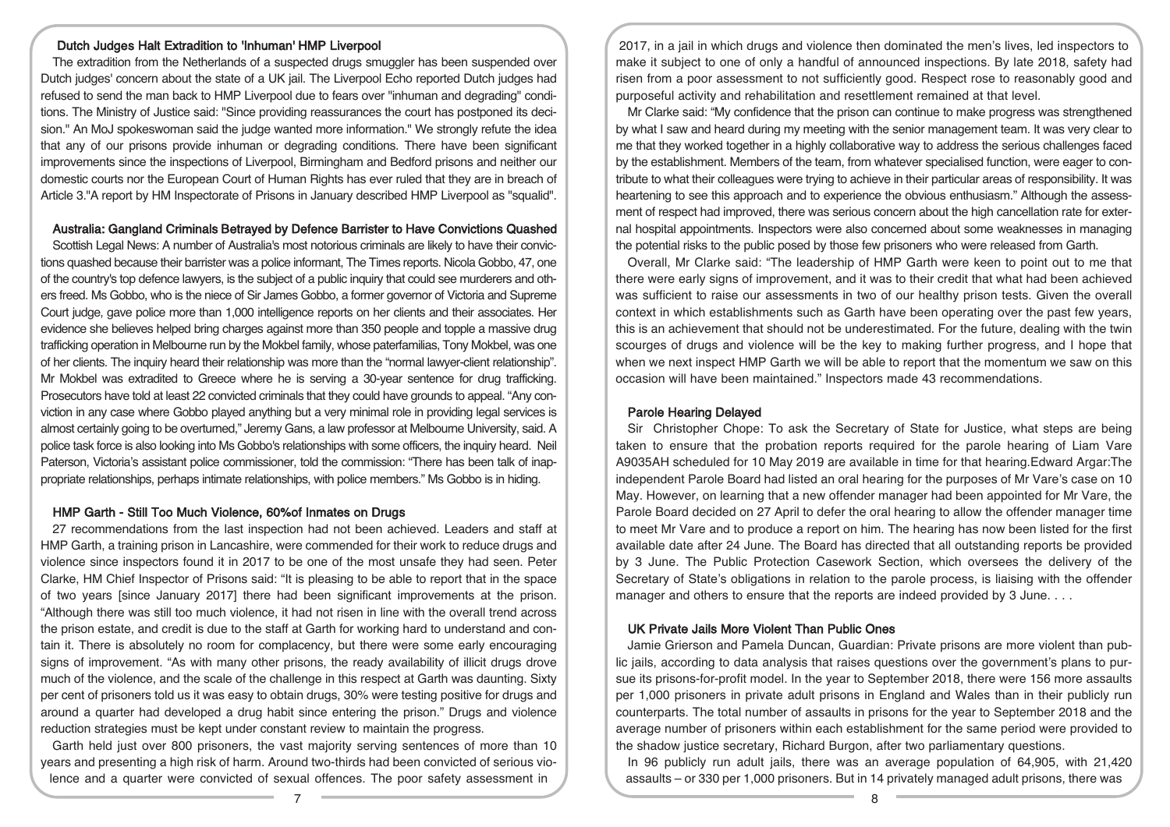# Dutch Judges Halt Extradition to 'Inhuman' HMP Liverpool

The extradition from the Netherlands of a suspected drugs smuggler has been suspended over Dutch judges' concern about the state of a UK jail. The Liverpool Echo reported Dutch judges had refused to send the man back to HMP Liverpool due to fears over "inhuman and degrading" conditions. The Ministry of Justice said: "Since providing reassurances the court has postponed its decision." An MoJ spokeswoman said the judge wanted more information." We strongly refute the idea that any of our prisons provide inhuman or degrading conditions. There have been significant improvements since the inspections of Liverpool, Birmingham and Bedford prisons and neither our domestic courts nor the European Court of Human Rights has ever ruled that they are in breach of Article 3."A report by HM Inspectorate of Prisons in January described HMP Liverpool as "squalid".

#### Australia: Gangland Criminals Betrayed by Defence Barrister to Have Convictions Quashed

Scottish Legal News: A number of Australia's most notorious criminals are likely to have their convictions quashed because their barrister was a police informant, The Times reports. Nicola Gobbo, 47, one of the country's top defence lawyers, is the subject of a public inquiry that could see murderers and others freed. Ms Gobbo, who is the niece of Sir James Gobbo, a former governor of Victoria and Supreme Court judge, gave police more than 1,000 intelligence reports on her clients and their associates. Her evidence she believes helped bring charges against more than 350 people and topple a massive drug trafficking operation in Melbourne run by the Mokbel family, whose paterfamilias, Tony Mokbel, was one of her clients. The inquiry heard their relationship was more than the "normal lawyer-client relationship". Mr Mokbel was extradited to Greece where he is serving a 30-year sentence for drug trafficking. Prosecutors have told at least 22 convicted criminals that they could have grounds to appeal. "Any conviction in any case where Gobbo played anything but a very minimal role in providing legal services is almost certainly going to be overturned," Jeremy Gans, a law professor at Melbourne University, said. A police task force is also looking into Ms Gobbo's relationships with some officers, the inquiry heard. Neil Paterson, Victoria's assistant police commissioner, told the commission: "There has been talk of inappropriate relationships, perhaps intimate relationships, with police members." Ms Gobbo is in hiding.

### HMP Garth - Still Too Much Violence, 60%of Inmates on Drugs

27 recommendations from the last inspection had not been achieved. Leaders and staff at HMP Garth, a training prison in Lancashire, were commended for their work to reduce drugs and violence since inspectors found it in 2017 to be one of the most unsafe they had seen. Peter Clarke, HM Chief Inspector of Prisons said: "It is pleasing to be able to report that in the space of two years [since January 2017] there had been significant improvements at the prison. "Although there was still too much violence, it had not risen in line with the overall trend across the prison estate, and credit is due to the staff at Garth for working hard to understand and contain it. There is absolutely no room for complacency, but there were some early encouraging signs of improvement. "As with many other prisons, the ready availability of illicit drugs drove much of the violence, and the scale of the challenge in this respect at Garth was daunting. Sixty per cent of prisoners told us it was easy to obtain drugs, 30% were testing positive for drugs and around a quarter had developed a drug habit since entering the prison." Drugs and violence reduction strategies must be kept under constant review to maintain the progress.

Garth held just over 800 prisoners, the vast majority serving sentences of more than 10 years and presenting a high risk of harm. Around two-thirds had been convicted of serious violence and a quarter were convicted of sexual offences. The poor safety assessment in

2017, in a jail in which drugs and violence then dominated the men's lives, led inspectors to make it subject to one of only a handful of announced inspections. By late 2018, safety had risen from a poor assessment to not sufficiently good. Respect rose to reasonably good and purposeful activity and rehabilitation and resettlement remained at that level.

Mr Clarke said: "My confidence that the prison can continue to make progress was strengthened by what I saw and heard during my meeting with the senior management team. It was very clear to me that they worked together in a highly collaborative way to address the serious challenges faced by the establishment. Members of the team, from whatever specialised function, were eager to contribute to what their colleagues were trying to achieve in their particular areas of responsibility. It was heartening to see this approach and to experience the obvious enthusiasm." Although the assessment of respect had improved, there was serious concern about the high cancellation rate for external hospital appointments. Inspectors were also concerned about some weaknesses in managing the potential risks to the public posed by those few prisoners who were released from Garth.

Overall, Mr Clarke said: "The leadership of HMP Garth were keen to point out to me that there were early signs of improvement, and it was to their credit that what had been achieved was sufficient to raise our assessments in two of our healthy prison tests. Given the overall context in which establishments such as Garth have been operating over the past few years, this is an achievement that should not be underestimated. For the future, dealing with the twin scourges of drugs and violence will be the key to making further progress, and I hope that when we next inspect HMP Garth we will be able to report that the momentum we saw on this occasion will have been maintained." Inspectors made 43 recommendations.

#### Parole Hearing Delayed

Sir Christopher Chope: To ask the Secretary of State for Justice, what steps are being taken to ensure that the probation reports required for the parole hearing of Liam Vare A9035AH scheduled for 10 May 2019 are available in time for that hearing.Edward Argar:The independent Parole Board had listed an oral hearing for the purposes of Mr Vare's case on 10 May. However, on learning that a new offender manager had been appointed for Mr Vare, the Parole Board decided on 27 April to defer the oral hearing to allow the offender manager time to meet Mr Vare and to produce a report on him. The hearing has now been listed for the first available date after 24 June. The Board has directed that all outstanding reports be provided by 3 June. The Public Protection Casework Section, which oversees the delivery of the Secretary of State's obligations in relation to the parole process, is liaising with the offender manager and others to ensure that the reports are indeed provided by 3 June. . . .

## UK Private Jails More Violent Than Public Ones

Jamie Grierson and Pamela Duncan, Guardian: Private prisons are more violent than public jails, according to data analysis that raises questions over the government's plans to pursue its prisons-for-profit model. In the year to September 2018, there were 156 more assaults per 1,000 prisoners in private adult prisons in England and Wales than in their publicly run counterparts. The total number of assaults in prisons for the year to September 2018 and the average number of prisoners within each establishment for the same period were provided to the shadow justice secretary, Richard Burgon, after two parliamentary questions.

In 96 publicly run adult jails, there was an average population of 64,905, with 21,420 assaults – or 330 per 1,000 prisoners. But in 14 privately managed adult prisons, there was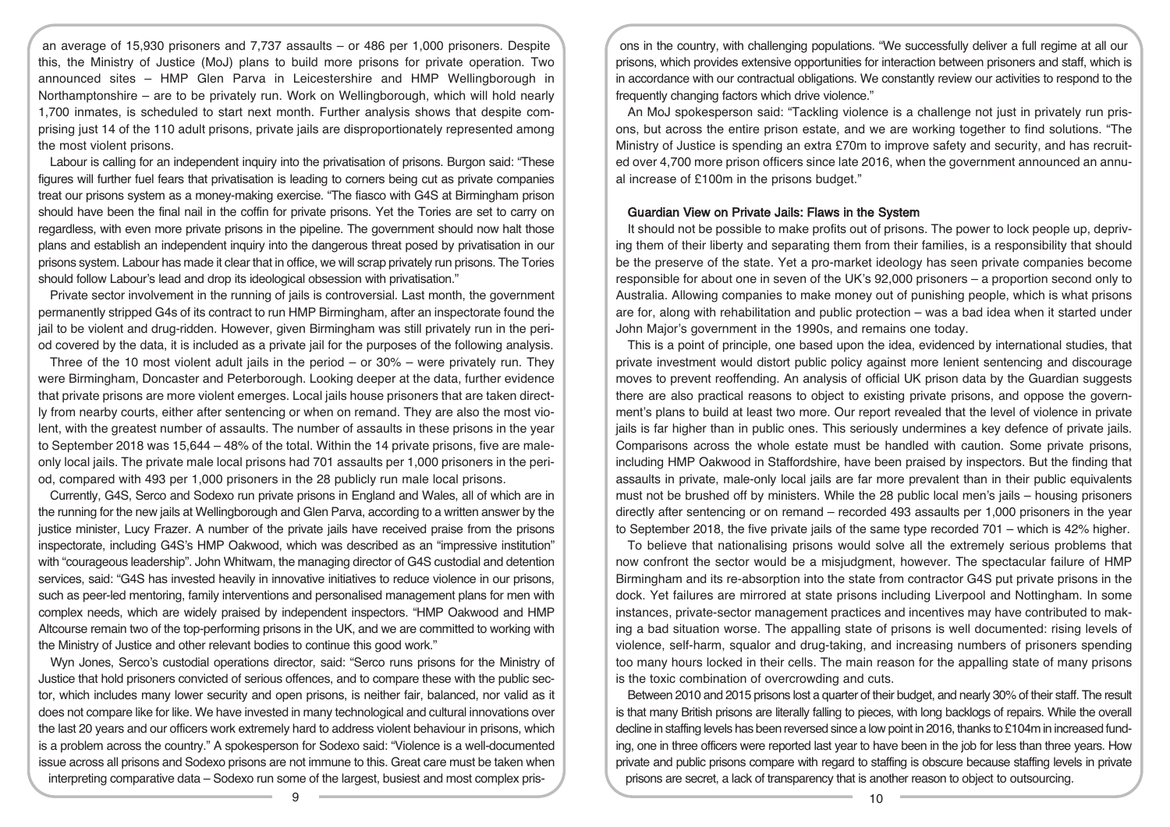an average of 15,930 prisoners and 7,737 assaults – or 486 per 1,000 prisoners. Despite this, the Ministry of Justice (MoJ) plans to build more prisons for private operation. Two announced sites – HMP Glen Parva in Leicestershire and HMP Wellingborough in Northamptonshire – are to be privately run. Work on Wellingborough, which will hold nearly 1,700 inmates, is scheduled to start next month. Further analysis shows that despite comprising just 14 of the 110 adult prisons, private jails are disproportionately represented among the most violent prisons.

Labour is calling for an independent inquiry into the privatisation of prisons. Burgon said: "These figures will further fuel fears that privatisation is leading to corners being cut as private companies treat our prisons system as a money-making exercise. "The fiasco with G4S at Birmingham prison should have been the final nail in the coffin for private prisons. Yet the Tories are set to carry on regardless, with even more private prisons in the pipeline. The government should now halt those plans and establish an independent inquiry into the dangerous threat posed by privatisation in our prisons system. Labour has made it clear that in office, we will scrap privately run prisons. The Tories should follow Labour's lead and drop its ideological obsession with privatisation."

Private sector involvement in the running of jails is controversial. Last month, the government permanently stripped G4s of its contract to run HMP Birmingham, after an inspectorate found the jail to be violent and drug-ridden. However, given Birmingham was still privately run in the period covered by the data, it is included as a private jail for the purposes of the following analysis.

Three of the 10 most violent adult jails in the period – or  $30\%$  – were privately run. They were Birmingham, Doncaster and Peterborough. Looking deeper at the data, further evidence that private prisons are more violent emerges. Local jails house prisoners that are taken directly from nearby courts, either after sentencing or when on remand. They are also the most violent, with the greatest number of assaults. The number of assaults in these prisons in the year to September 2018 was 15,644 – 48% of the total. Within the 14 private prisons, five are maleonly local jails. The private male local prisons had 701 assaults per 1,000 prisoners in the period, compared with 493 per 1,000 prisoners in the 28 publicly run male local prisons.

Currently, G4S, Serco and Sodexo run private prisons in England and Wales, all of which are in the running for the new jails at Wellingborough and Glen Parva, according to a written answer by the justice minister, Lucy Frazer. A number of the private jails have received praise from the prisons inspectorate, including G4S's HMP Oakwood, which was described as an "impressive institution" with "courageous leadership". John Whitwam, the managing director of G4S custodial and detention services, said: "G4S has invested heavily in innovative initiatives to reduce violence in our prisons, such as peer-led mentoring, family interventions and personalised management plans for men with complex needs, which are widely praised by independent inspectors. "HMP Oakwood and HMP Altcourse remain two of the top-performing prisons in the UK, and we are committed to working with the Ministry of Justice and other relevant bodies to continue this good work."

Wyn Jones, Serco's custodial operations director, said: "Serco runs prisons for the Ministry of Justice that hold prisoners convicted of serious offences, and to compare these with the public sector, which includes many lower security and open prisons, is neither fair, balanced, nor valid as it does not compare like for like. We have invested in many technological and cultural innovations over the last 20 years and our officers work extremely hard to address violent behaviour in prisons, which is a problem across the country." A spokesperson for Sodexo said: "Violence is a well-documented issue across all prisons and Sodexo prisons are not immune to this. Great care must be taken when interpreting comparative data – Sodexo run some of the largest, busiest and most complex pris-

ons in the country, with challenging populations. "We successfully deliver a full regime at all our prisons, which provides extensive opportunities for interaction between prisoners and staff, which is in accordance with our contractual obligations. We constantly review our activities to respond to the frequently changing factors which drive violence."

An MoJ spokesperson said: "Tackling violence is a challenge not just in privately run prisons, but across the entire prison estate, and we are working together to find solutions. "The Ministry of Justice is spending an extra £70m to improve safety and security, and has recruited over 4,700 more prison officers since late 2016, when the government announced an annual increase of £100m in the prisons budget."

#### Guardian View on Private Jails: Flaws in the System

It should not be possible to make profits out of prisons. The power to lock people up, depriving them of their liberty and separating them from their families, is a responsibility that should be the preserve of the state. Yet a pro-market ideology has seen private companies become responsible for about one in seven of the UK's 92,000 prisoners – a proportion second only to Australia. Allowing companies to make money out of punishing people, which is what prisons are for, along with rehabilitation and public protection – was a bad idea when it started under John Major's government in the 1990s, and remains one today.

This is a point of principle, one based upon the idea, evidenced by international studies, that private investment would distort public policy against more lenient sentencing and discourage moves to prevent reoffending. An analysis of official UK prison data by the Guardian suggests there are also practical reasons to object to existing private prisons, and oppose the government's plans to build at least two more. Our report revealed that the level of violence in private jails is far higher than in public ones. This seriously undermines a key defence of private jails. Comparisons across the whole estate must be handled with caution. Some private prisons, including HMP Oakwood in Staffordshire, have been praised by inspectors. But the finding that assaults in private, male-only local jails are far more prevalent than in their public equivalents must not be brushed off by ministers. While the 28 public local men's jails – housing prisoners directly after sentencing or on remand – recorded 493 assaults per 1,000 prisoners in the year to September 2018, the five private jails of the same type recorded 701 – which is 42% higher.

To believe that nationalising prisons would solve all the extremely serious problems that now confront the sector would be a misjudgment, however. The spectacular failure of HMP Birmingham and its re-absorption into the state from contractor G4S put private prisons in the dock. Yet failures are mirrored at state prisons including Liverpool and Nottingham. In some instances, private-sector management practices and incentives may have contributed to making a bad situation worse. The appalling state of prisons is well documented: rising levels of violence, self-harm, squalor and drug-taking, and increasing numbers of prisoners spending too many hours locked in their cells. The main reason for the appalling state of many prisons is the toxic combination of overcrowding and cuts.

Between 2010 and 2015 prisons lost a quarter of their budget, and nearly 30% of their staff. The result is that many British prisons are literally falling to pieces, with long backlogs of repairs. While the overall decline in staffing levels has been reversed since a low point in 2016, thanks to £104m in increased funding, one in three officers were reported last year to have been in the job for less than three years. How private and public prisons compare with regard to staffing is obscure because staffing levels in private prisons are secret, a lack of transparency that is another reason to object to outsourcing.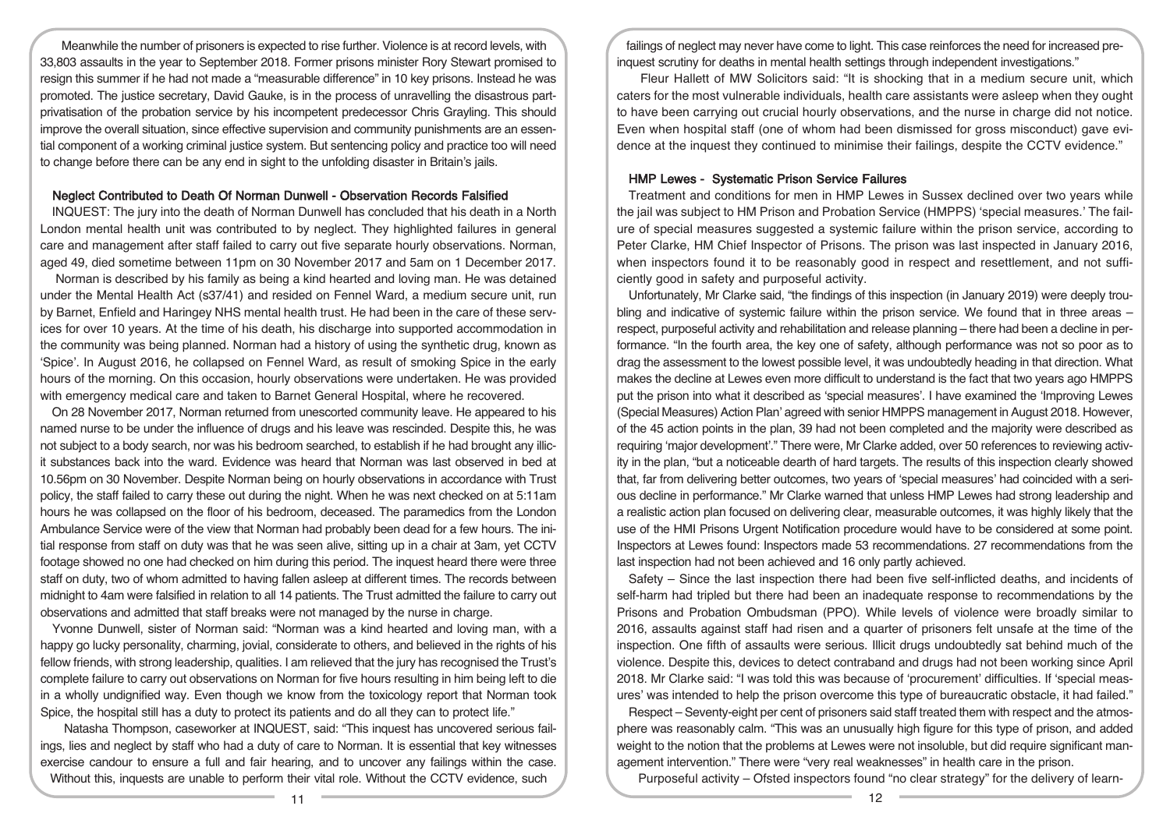Meanwhile the number of prisoners is expected to rise further. Violence is at record levels, with 33,803 assaults in the year to September 2018. Former prisons minister Rory Stewart promised to resign this summer if he had not made a "measurable difference" in 10 key prisons. Instead he was promoted. The justice secretary, David Gauke, is in the process of unravelling the disastrous partprivatisation of the probation service by his incompetent predecessor Chris Grayling. This should improve the overall situation, since effective supervision and community punishments are an essential component of a working criminal justice system. But sentencing policy and practice too will need to change before there can be any end in sight to the unfolding disaster in Britain's jails.

# Neglect Contributed to Death Of Norman Dunwell - Observation Records Falsified

INQUEST: The jury into the death of Norman Dunwell has concluded that his death in a North London mental health unit was contributed to by neglect. They highlighted failures in general care and management after staff failed to carry out five separate hourly observations. Norman, aged 49, died sometime between 11pm on 30 November 2017 and 5am on 1 December 2017.

Norman is described by his family as being a kind hearted and loving man. He was detained under the Mental Health Act (s37/41) and resided on Fennel Ward, a medium secure unit, run by Barnet, Enfield and Haringey NHS mental health trust. He had been in the care of these services for over 10 years. At the time of his death, his discharge into supported accommodation in the community was being planned. Norman had a history of using the synthetic drug, known as 'Spice'. In August 2016, he collapsed on Fennel Ward, as result of smoking Spice in the early hours of the morning. On this occasion, hourly observations were undertaken. He was provided with emergency medical care and taken to Barnet General Hospital, where he recovered.

On 28 November 2017, Norman returned from unescorted community leave. He appeared to his named nurse to be under the influence of drugs and his leave was rescinded. Despite this, he was not subject to a body search, nor was his bedroom searched, to establish if he had brought any illicit substances back into the ward. Evidence was heard that Norman was last observed in bed at 10.56pm on 30 November. Despite Norman being on hourly observations in accordance with Trust policy, the staff failed to carry these out during the night. When he was next checked on at 5:11am hours he was collapsed on the floor of his bedroom, deceased. The paramedics from the London Ambulance Service were of the view that Norman had probably been dead for a few hours. The initial response from staff on duty was that he was seen alive, sitting up in a chair at 3am, yet CCTV footage showed no one had checked on him during this period. The inquest heard there were three staff on duty, two of whom admitted to having fallen asleep at different times. The records between midnight to 4am were falsified in relation to all 14 patients. The Trust admitted the failure to carry out observations and admitted that staff breaks were not managed by the nurse in charge.

Yvonne Dunwell, sister of Norman said: "Norman was a kind hearted and loving man, with a happy go lucky personality, charming, jovial, considerate to others, and believed in the rights of his fellow friends, with strong leadership, qualities. I am relieved that the jury has recognised the Trust's complete failure to carry out observations on Norman for five hours resulting in him being left to die in a wholly undignified way. Even though we know from the toxicology report that Norman took Spice, the hospital still has a duty to protect its patients and do all they can to protect life."

Natasha Thompson, caseworker at INQUEST, said: "This inquest has uncovered serious failings, lies and neglect by staff who had a duty of care to Norman. It is essential that key witnesses exercise candour to ensure a full and fair hearing, and to uncover any failings within the case. Without this, inquests are unable to perform their vital role. Without the CCTV evidence, such

failings of neglect may never have come to light. This case reinforces the need for increased preinquest scrutiny for deaths in mental health settings through independent investigations."

Fleur Hallett of MW Solicitors said: "It is shocking that in a medium secure unit, which caters for the most vulnerable individuals, health care assistants were asleep when they ought to have been carrying out crucial hourly observations, and the nurse in charge did not notice. Even when hospital staff (one of whom had been dismissed for gross misconduct) gave evidence at the inquest they continued to minimise their failings, despite the CCTV evidence."

## HMP Lewes - Systematic Prison Service Failures

Treatment and conditions for men in HMP Lewes in Sussex declined over two years while the jail was subject to HM Prison and Probation Service (HMPPS) 'special measures.' The failure of special measures suggested a systemic failure within the prison service, according to Peter Clarke, HM Chief Inspector of Prisons. The prison was last inspected in January 2016, when inspectors found it to be reasonably good in respect and resettlement, and not sufficiently good in safety and purposeful activity.

Unfortunately, Mr Clarke said, "the findings of this inspection (in January 2019) were deeply troubling and indicative of systemic failure within the prison service. We found that in three areas – respect, purposeful activity and rehabilitation and release planning – there had been a decline in performance. "In the fourth area, the key one of safety, although performance was not so poor as to drag the assessment to the lowest possible level, it was undoubtedly heading in that direction. What makes the decline at Lewes even more difficult to understand is the fact that two years ago HMPPS put the prison into what it described as 'special measures'. I have examined the 'Improving Lewes (Special Measures) Action Plan' agreed with senior HMPPS management in August 2018. However, of the 45 action points in the plan, 39 had not been completed and the majority were described as requiring 'major development'." There were, Mr Clarke added, over 50 references to reviewing activity in the plan, "but a noticeable dearth of hard targets. The results of this inspection clearly showed that, far from delivering better outcomes, two years of 'special measures' had coincided with a serious decline in performance." Mr Clarke warned that unless HMP Lewes had strong leadership and a realistic action plan focused on delivering clear, measurable outcomes, it was highly likely that the use of the HMI Prisons Urgent Notification procedure would have to be considered at some point. Inspectors at Lewes found: Inspectors made 53 recommendations. 27 recommendations from the last inspection had not been achieved and 16 only partly achieved.

Safety – Since the last inspection there had been five self-inflicted deaths, and incidents of self-harm had tripled but there had been an inadequate response to recommendations by the Prisons and Probation Ombudsman (PPO). While levels of violence were broadly similar to 2016, assaults against staff had risen and a quarter of prisoners felt unsafe at the time of the inspection. One fifth of assaults were serious. Illicit drugs undoubtedly sat behind much of the violence. Despite this, devices to detect contraband and drugs had not been working since April 2018. Mr Clarke said: "I was told this was because of 'procurement' difficulties. If 'special measures' was intended to help the prison overcome this type of bureaucratic obstacle, it had failed."

Respect – Seventy-eight per cent of prisoners said staff treated them with respect and the atmosphere was reasonably calm. "This was an unusually high figure for this type of prison, and added weight to the notion that the problems at Lewes were not insoluble, but did require significant management intervention." There were "very real weaknesses" in health care in the prison.

Purposeful activity – Ofsted inspectors found "no clear strategy" for the delivery of learn-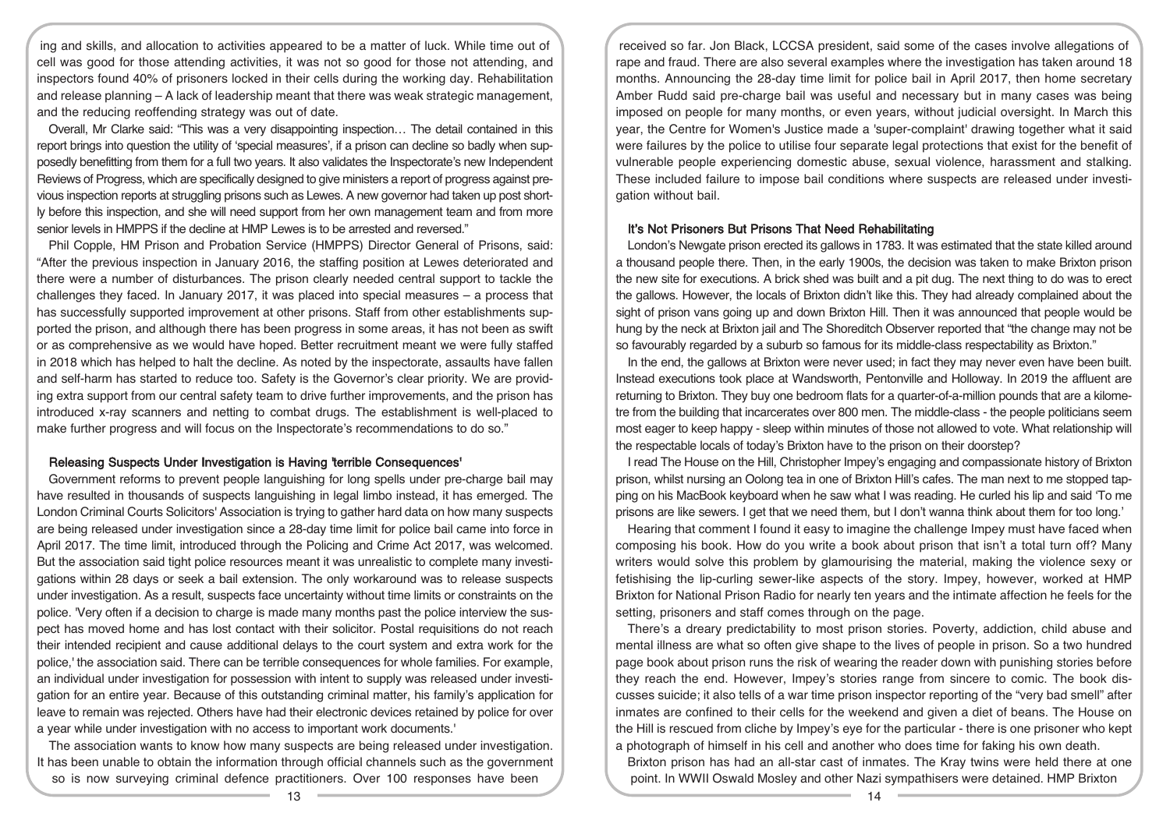ing and skills, and allocation to activities appeared to be a matter of luck. While time out of cell was good for those attending activities, it was not so good for those not attending, and inspectors found 40% of prisoners locked in their cells during the working day. Rehabilitation and release planning – A lack of leadership meant that there was weak strategic management, and the reducing reoffending strategy was out of date.

Overall, Mr Clarke said: "This was a very disappointing inspection… The detail contained in this report brings into question the utility of 'special measures', if a prison can decline so badly when supposedly benefitting from them for a full two years. It also validates the Inspectorate's new Independent Reviews of Progress, which are specifically designed to give ministers a report of progress against previous inspection reports at struggling prisons such as Lewes. A new governor had taken up post shortly before this inspection, and she will need support from her own management team and from more senior levels in HMPPS if the decline at HMP Lewes is to be arrested and reversed."

Phil Copple, HM Prison and Probation Service (HMPPS) Director General of Prisons, said: "After the previous inspection in January 2016, the staffing position at Lewes deteriorated and there were a number of disturbances. The prison clearly needed central support to tackle the challenges they faced. In January 2017, it was placed into special measures – a process that has successfully supported improvement at other prisons. Staff from other establishments supported the prison, and although there has been progress in some areas, it has not been as swift or as comprehensive as we would have hoped. Better recruitment meant we were fully staffed in 2018 which has helped to halt the decline. As noted by the inspectorate, assaults have fallen and self-harm has started to reduce too. Safety is the Governor's clear priority. We are providing extra support from our central safety team to drive further improvements, and the prison has introduced x-ray scanners and netting to combat drugs. The establishment is well-placed to make further progress and will focus on the Inspectorate's recommendations to do so."

#### Releasing Suspects Under Investigation is Having 'terrible Consequences'

Government reforms to prevent people languishing for long spells under pre-charge bail may have resulted in thousands of suspects languishing in legal limbo instead, it has emerged. The London Criminal Courts Solicitors' Association is trying to gather hard data on how many suspects are being released under investigation since a 28-day time limit for police bail came into force in April 2017. The time limit, introduced through the Policing and Crime Act 2017, was welcomed. But the association said tight police resources meant it was unrealistic to complete many investigations within 28 days or seek a bail extension. The only workaround was to release suspects under investigation. As a result, suspects face uncertainty without time limits or constraints on the police. 'Very often if a decision to charge is made many months past the police interview the suspect has moved home and has lost contact with their solicitor. Postal requisitions do not reach their intended recipient and cause additional delays to the court system and extra work for the police,' the association said. There can be terrible consequences for whole families. For example, an individual under investigation for possession with intent to supply was released under investigation for an entire year. Because of this outstanding criminal matter, his family's application for leave to remain was rejected. Others have had their electronic devices retained by police for over a year while under investigation with no access to important work documents.'

The association wants to know how many suspects are being released under investigation. It has been unable to obtain the information through official channels such as the government so is now surveying criminal defence practitioners. Over 100 responses have been

received so far. Jon Black, LCCSA president, said some of the cases involve allegations of rape and fraud. There are also several examples where the investigation has taken around 18 months. Announcing the 28-day time limit for police bail in April 2017, then home secretary Amber Rudd said pre-charge bail was useful and necessary but in many cases was being imposed on people for many months, or even years, without judicial oversight. In March this year, the Centre for Women's Justice made a 'super-complaint' drawing together what it said were failures by the police to utilise four separate legal protections that exist for the benefit of vulnerable people experiencing domestic abuse, sexual violence, harassment and stalking. These included failure to impose bail conditions where suspects are released under investigation without bail.

#### It's Not Prisoners But Prisons That Need Rehabilitating

London's Newgate prison erected its gallows in 1783. It was estimated that the state killed around a thousand people there. Then, in the early 1900s, the decision was taken to make Brixton prison the new site for executions. A brick shed was built and a pit dug. The next thing to do was to erect the gallows. However, the locals of Brixton didn't like this. They had already complained about the sight of prison vans going up and down Brixton Hill. Then it was announced that people would be hung by the neck at Brixton jail and The Shoreditch Observer reported that "the change may not be so favourably regarded by a suburb so famous for its middle-class respectability as Brixton."

In the end, the gallows at Brixton were never used; in fact they may never even have been built. Instead executions took place at Wandsworth, Pentonville and Holloway. In 2019 the affluent are returning to Brixton. They buy one bedroom flats for a quarter-of-a-million pounds that are a kilometre from the building that incarcerates over 800 men. The middle-class - the people politicians seem most eager to keep happy - sleep within minutes of those not allowed to vote. What relationship will the respectable locals of today's Brixton have to the prison on their doorstep?

I read The House on the Hill, Christopher Impey's engaging and compassionate history of Brixton prison, whilst nursing an Oolong tea in one of Brixton Hill's cafes. The man next to me stopped tapping on his MacBook keyboard when he saw what I was reading. He curled his lip and said 'To me prisons are like sewers. I get that we need them, but I don't wanna think about them for too long.'

Hearing that comment I found it easy to imagine the challenge Impey must have faced when composing his book. How do you write a book about prison that isn't a total turn off? Many writers would solve this problem by glamourising the material, making the violence sexy or fetishising the lip-curling sewer-like aspects of the story. Impey, however, worked at HMP Brixton for National Prison Radio for nearly ten years and the intimate affection he feels for the setting, prisoners and staff comes through on the page.

There's a dreary predictability to most prison stories. Poverty, addiction, child abuse and mental illness are what so often give shape to the lives of people in prison. So a two hundred page book about prison runs the risk of wearing the reader down with punishing stories before they reach the end. However, Impey's stories range from sincere to comic. The book discusses suicide; it also tells of a war time prison inspector reporting of the "very bad smell" after inmates are confined to their cells for the weekend and given a diet of beans. The House on the Hill is rescued from cliche by Impey's eye for the particular - there is one prisoner who kept a photograph of himself in his cell and another who does time for faking his own death.

Brixton prison has had an all-star cast of inmates. The Kray twins were held there at one point. In WWII Oswald Mosley and other Nazi sympathisers were detained. HMP Brixton